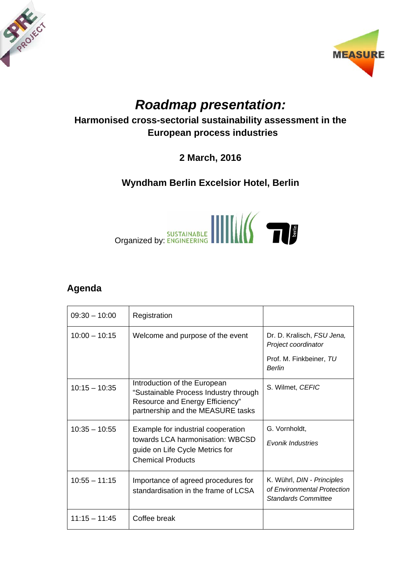



## *Roadmap presentation:*

## **Harmonised cross-sectorial sustainability assessment in the European process industries**

**2 March, 2016** 

## **Wyndham Berlin Excelsior Hotel, Berlin**



## **Agenda**

| $09:30 - 10:00$ | Registration                                                                                                                                  |                                                                                  |
|-----------------|-----------------------------------------------------------------------------------------------------------------------------------------------|----------------------------------------------------------------------------------|
| $10:00 - 10:15$ | Welcome and purpose of the event                                                                                                              | Dr. D. Kralisch, FSU Jena,<br>Project coordinator                                |
|                 |                                                                                                                                               | Prof. M. Finkbeiner, TU<br><b>Berlin</b>                                         |
| $10:15 - 10:35$ | Introduction of the European<br>"Sustainable Process Industry through<br>Resource and Energy Efficiency"<br>partnership and the MEASURE tasks | S. Wilmet, CEFIC                                                                 |
| $10:35 - 10:55$ | Example for industrial cooperation<br>towards LCA harmonisation: WBCSD<br>guide on Life Cycle Metrics for<br><b>Chemical Products</b>         | G. Vornholdt,<br><b>Evonik Industries</b>                                        |
| $10:55 - 11:15$ | Importance of agreed procedures for<br>standardisation in the frame of LCSA                                                                   | K. Wührl, DIN - Principles<br>of Environmental Protection<br>Standards Committee |
| $11:15 - 11:45$ | Coffee break                                                                                                                                  |                                                                                  |